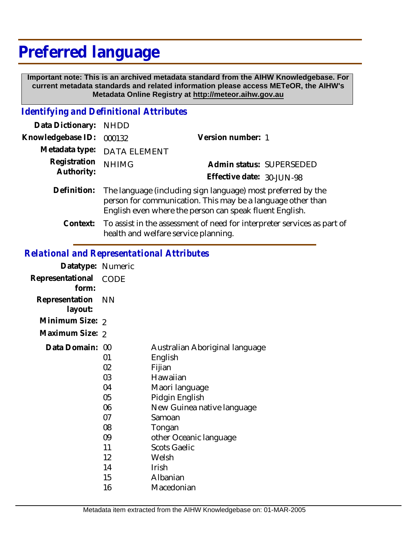# **Preferred language**

 **Important note: This is an archived metadata standard from the AIHW Knowledgebase. For current metadata standards and related information please access METeOR, the AIHW's Metadata Online Registry at http://meteor.aihw.gov.au**

## *Identifying and Definitional Attributes*

| Data Dictionary: NHDD    |                                                                                                                                                                                        |                           |  |
|--------------------------|----------------------------------------------------------------------------------------------------------------------------------------------------------------------------------------|---------------------------|--|
| Knowledgebase ID: 000132 |                                                                                                                                                                                        | Version number: 1         |  |
|                          | Metadata type: DATA ELEMENT                                                                                                                                                            |                           |  |
| Registration             | <b>NHIMG</b>                                                                                                                                                                           | Admin status: SUPERSEDED  |  |
| Authority:               |                                                                                                                                                                                        | Effective date: 30-JUN-98 |  |
| Definition:              | The language (including sign language) most preferred by the<br>person for communication. This may be a language other than<br>English even where the person can speak fluent English. |                           |  |

Context: To assist in the assessment of need for interpreter services as part of health and welfare service planning.

### *Relational and Representational Attributes*

| Datatype: Numeric         |                                                                      |                                                                                                                                                                                                                 |
|---------------------------|----------------------------------------------------------------------|-----------------------------------------------------------------------------------------------------------------------------------------------------------------------------------------------------------------|
| Representational<br>form: | <b>CODE</b>                                                          |                                                                                                                                                                                                                 |
| Representation<br>layout: | – NN                                                                 |                                                                                                                                                                                                                 |
| Minimum Size: 2           |                                                                      |                                                                                                                                                                                                                 |
| Maximum Size: 2           |                                                                      |                                                                                                                                                                                                                 |
| Data Domain:              | 00<br>01<br>02<br>03<br>04<br>05<br>06<br>07<br>08<br>09<br>11<br>12 | Australian Aboriginal language<br>English<br>Fijian<br>Hawaiian<br>Maori language<br>Pidgin English<br>New Guinea native language<br>Samoan<br>Tongan<br>other Oceanic language<br><b>Scots Gaelic</b><br>Welsh |
|                           | 14<br>15                                                             | Irish<br>Albanian                                                                                                                                                                                               |
|                           | 16                                                                   | Macedonian                                                                                                                                                                                                      |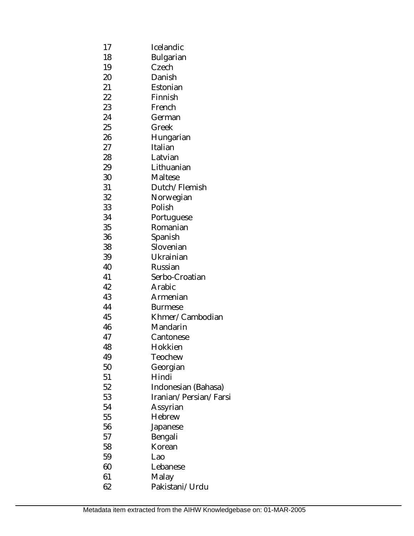- 17 18 19 20 21 22 23 24 25 26 27 28 29 30 31 32 33 34 35 36 38 39 40 41 42 43 44 45 46 47 48 49 50 51 52 53 54 55 56 57 58 59 60 61 Icelandic Bulgarian **Czech** Danish Estonian Finnish French German Greek Hungarian Italian Latvian Lithuanian Maltese Dutch/Flemish Norwegian Polish Portuguese Romanian Spanish Slovenian Ukrainian Russian Serbo-Croatian Arabic Armenian Burmese Khmer/Cambodian Mandarin Cantonese Hokkien Teochew Georgian Hindi Indonesian (Bahasa) Iranian/Persian/Farsi Assyrian Hebrew Japanese Bengali Korean Lao Lebanese Malay
- 62 Pakistani/Urdu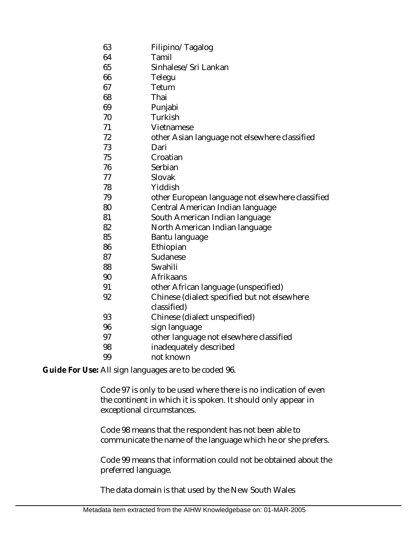- 63 Filipino/Tagalog
- 64 Tamil
- 65 Sinhalese/Sri Lankan
- 66 Telegu
- 67 Tetum
- 68 Thai
- 69 Punjabi
- 70 Turkish
- 71 Vietnamese
- 72 other Asian language not elsewhere classified
- 73 Dari
- 75 Croatian
- 76 Serbian
- 77 Slovak
- 78 Yiddish
- 79 other European language not elsewhere classified
- 80 Central American Indian language
- 81 South American Indian language
- 82 North American Indian language
- 85 Bantu language
- 86 Ethiopian
- 87 Sudanese
- 88 Swahili
- 90 Afrikaans
- 91 other African language (unspecified)
- 92 Chinese (dialect specified but not elsewhere classified)
- 93 Chinese (dialect unspecified)
- 96 sign language
- 97 other language not elsewhere classified
- 98 inadequately described
- 99 not known

Guide For Use: All sign languages are to be coded 96.

Code 97 is only to be used where there is no indication of even the continent in which it is spoken. It should only appear in exceptional circumstances.

Code 98 means that the respondent has not been able to communicate the name of the language which he or she prefers.

Code 99 means that information could not be obtained about the preferred language.

The data domain is that used by the New South Wales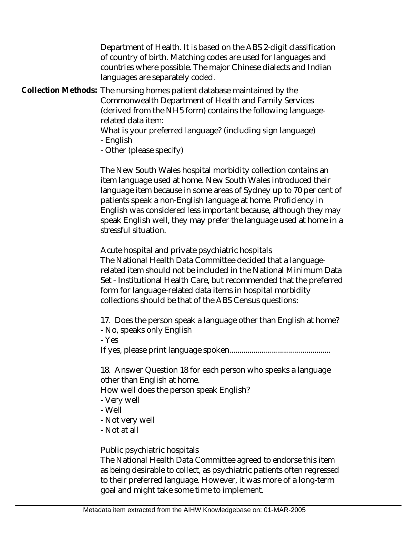Department of Health. It is based on the ABS 2-digit classification of country of birth. Matching codes are used for languages and countries where possible. The major Chinese dialects and Indian languages are separately coded.

Collection Methods: The nursing homes patient database maintained by the Commonwealth Department of Health and Family Services (derived from the NH5 form) contains the following languagerelated data item:

What is your preferred language? (including sign language) - English

- Other (please specify)

The New South Wales hospital morbidity collection contains an item language used at home. New South Wales introduced their language item because in some areas of Sydney up to 70 per cent of patients speak a non-English language at home. Proficiency in English was considered less important because, although they may speak English well, they may prefer the language used at home in a stressful situation.

Acute hospital and private psychiatric hospitals

The National Health Data Committee decided that a languagerelated item should not be included in the National Minimum Data Set - Institutional Health Care, but recommended that the preferred form for language-related data items in hospital morbidity collections should be that of the ABS Census questions:

17. Does the person speak a language other than English at home? - No, speaks only English - Yes

If yes, please print language spoken..................................................

18. Answer Question 18 for each person who speaks a language other than English at home.

How well does the person speak English?

- Very well

- Well

- Not very well
- Not at all

Public psychiatric hospitals

The National Health Data Committee agreed to endorse this item as being desirable to collect, as psychiatric patients often regressed to their preferred language. However, it was more of a long-term goal and might take some time to implement.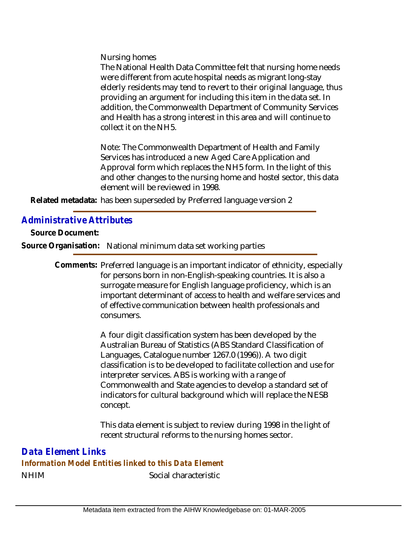Nursing homes

The National Health Data Committee felt that nursing home needs were different from acute hospital needs as migrant long-stay elderly residents may tend to revert to their original language, thus providing an argument for including this item in the data set. In addition, the Commonwealth Department of Community Services and Health has a strong interest in this area and will continue to collect it on the NH5.

Note: The Commonwealth Department of Health and Family Services has introduced a new Aged Care Application and Approval form which replaces the NH5 form. In the light of this and other changes to the nursing home and hostel sector, this data element will be reviewed in 1998.

Related metadata: has been superseded by Preferred language version 2

## *Administrative Attributes*

**Source Document:**

**Source Organisation:** National minimum data set working parties

Comments: Preferred language is an important indicator of ethnicity, especially for persons born in non-English-speaking countries. It is also a surrogate measure for English language proficiency, which is an important determinant of access to health and welfare services and of effective communication between health professionals and consumers.

> A four digit classification system has been developed by the Australian Bureau of Statistics (ABS Standard Classification of Languages, Catalogue number 1267.0 (1996)). A two digit classification is to be developed to facilitate collection and use for interpreter services. ABS is working with a range of Commonwealth and State agencies to develop a standard set of indicators for cultural background which will replace the NESB concept.

This data element is subject to review during 1998 in the light of recent structural reforms to the nursing homes sector.

## NHIM Social characteristic *Data Element Links Information Model Entities linked to this Data Element*